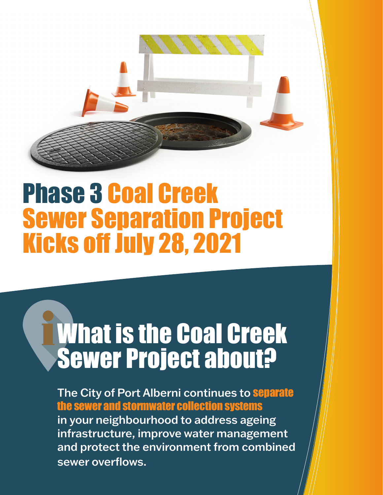# Phase 3 Coal Creek Sewer Separation Project Kicks off July 28, 2021

## What is the Coal Creek Sewer Project about?

The City of Port Alberni continues to **Separate** the sewer and stormwater collection systems in your neighbourhood to address ageing infrastructure, improve water management and protect the environment from combined sewer overflows.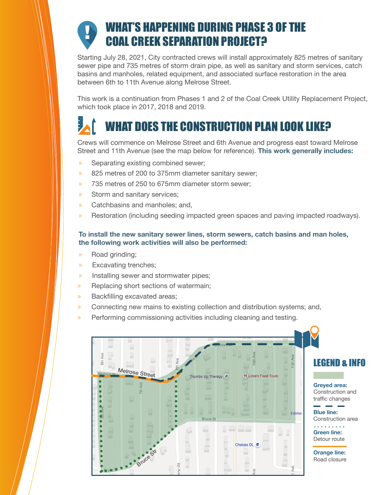## WHAT'S HAPPENING DURING PHASE 3 OF THE COAL CREEK SEPARATION PROJECT?

Starting July 28, 2021, City contracted crews will install approximately 825 metres of sanitary sewer pipe and 735 metres of storm drain pipe, as well as sanitary and storm services, catch basins and manholes, related equipment, and associated surface restoration in the area between 6th to 11th Avenue along Melrose Street.

This work is a continuation from Phases 1 and 2 of the Coal Creek Utility Replacement Project, which took place in 2017, 2018 and 2019.

## WHAT DOES THE CONSTRUCTION PLAN LOOK LIKE?

Crews will commence on Melrose Street and 6th Avenue and progress east toward Melrose Street and 11th Avenue (see the map below for reference). **This work generally includes:**

- » Separating existing combined sewer;
- » 825 metres of 200 to 375mm diameter sanitary sewer;
- » 735 metres of 250 to 675mm diameter storm sewer;
- » Storm and sanitary services;
- » Catchbasins and manholes; and,
- » Restoration (including seeding impacted green spaces and paving impacted roadways).

#### **To install the new sanitary sewer lines, storm sewers, catch basins and man holes, the following work activities will also be performed:**

- » Road grinding;
- » Excavating trenches;
- » Installing sewer and stormwater pipes;
- » Replacing short sections of watermain;
- » Backfilling excavated areas;
- » Connecting new mains to existing collection and distribution systems; and,
- » Performing commissioning activities including cleaning and testing.

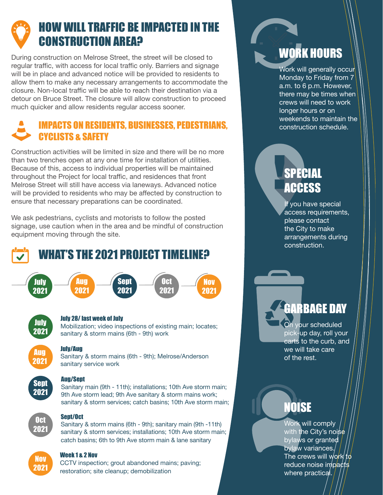## HOW WILL TRAFFIC BE IMPACTED IN THE CONSTRUCTION AREA?

During construction on Melrose Street, the street will be closed to regular traffic, with access for local traffic only. Barriers and signage will be in place and advanced notice will be provided to residents to allow them to make any necessary arrangements to accommodate the closure. Non-local traffic will be able to reach their destination via a detour on Bruce Street. The closure will allow construction to proceed much quicker and allow residents regular access sooner.

#### IMPACTS ON RESIDENTS, BUSINESSES, PEDESTRIANS, CYCLISTS & SAFETY

Construction activities will be limited in size and there will be no more than two trenches open at any one time for installation of utilities. Because of this, access to individual properties will be maintained throughout the Project for local traffic, and residences that front Melrose Street will still have access via laneways. Advanced notice will be provided to residents who may be affected by construction to ensure that necessary preparations can be coordinated.

We ask pedestrians, cyclists and motorists to follow the posted signage, use caution when in the area and be mindful of construction equipment moving through the site.

## WHAT'S THE 2021 PROJECT TIMELINE?





#### July 28/ last week of July

sanitary service work

Mobilization; video inspections of existing main; locates; sanitary & storm mains (6th - 9th) work

Sanitary & storm mains (6th - 9th); Melrose/Anderson

Nov 2021

### Aug 2021

## Sept 2021

#### Aug/Sept

July/Aug

Sanitary main (9th - 11th); installations; 10th Ave storm main; 9th Ave storm lead; 9th Ave sanitary & storm mains work; sanitary & storm services; catch basins; 10th Ave storm main;



#### Sept/Oct

Sanitary & storm mains (6th - 9th); sanitary main (9th -11th) sanitary & storm services; installations; 10th Ave storm main; catch basins; 6th to 9th Ave storm main & lane sanitary

## Nov 2021

#### Week 1 x 2 Nov

CCTV inspection; grout abandoned mains; paving; restoration; site cleanup; demobilization

## WORK HOURS

Work will generally occur Monday to Friday from 7 a.m. to 6 p.m. However, there may be times when crews will need to work longer hours or on weekends to maintain the construction schedule.

## SPECIAL **ACCESS**

If you have special access requirements, please contact the City to make arrangements during construction.

## GARBAGE DAY

On your scheduled pick-up day, roll your carts to the curb, and we will take care of the rest.

## NOISE

Work will comply with the City's noise bylaws or granted bylaw variances. The crews will work to reduce noise impacts where practical.